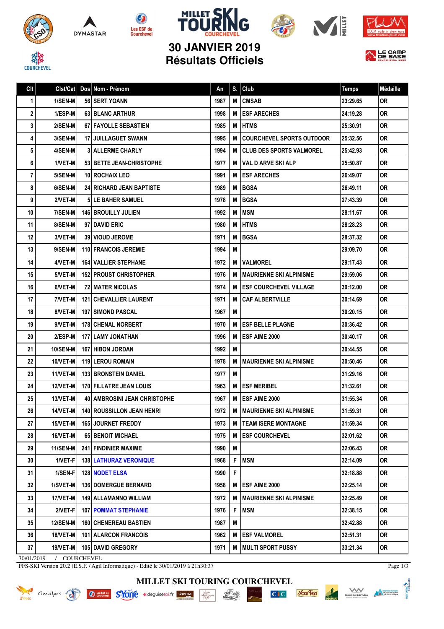











## **30 JANVIER 2019 Résultats Officiels**

| Clt                        | Clst/Cat        |  | Dos Nom - Prénom                      | An   | S. | Club                             | <b>Temps</b> | <b>Médaille</b> |
|----------------------------|-----------------|--|---------------------------------------|------|----|----------------------------------|--------------|-----------------|
| 1                          | 1/SEN-M         |  | 56 SERT YOANN                         | 1987 | M  | <b>CMSAB</b>                     | 23:29.65     | 0R              |
| 2                          | 1/ESP-M         |  | <b>63 BLANC ARTHUR</b>                | 1998 | M  | <b>ESF ARECHES</b>               | 24:19.28     | <b>OR</b>       |
| 3                          | 2/SEN-M         |  | <b>67 FAYOLLE SEBASTIEN</b>           | 1985 | M  | <b>HTMS</b>                      | 25:30.91     | 0R              |
| 4                          | 3/SEN-M         |  | <b>17 JUILLAGUET SWANN</b>            | 1995 | M  | <b>COURCHEVEL SPORTS OUTDOOR</b> | 25:32.56     | 0R              |
| 5                          | 4/SEN-M         |  | <b>3 ALLERME CHARLY</b>               | 1994 | M  | <b>CLUB DES SPORTS VALMOREL</b>  | 25:42.93     | 0R              |
| 6                          | 1/VET-M         |  | 53 BETTE JEAN-CHRISTOPHE              | 1977 | M  | <b>VAL D ARVE SKI ALP</b>        | 25:50.87     | 0R              |
| 7                          | 5/SEN-M         |  | <b>10 ROCHAIX LEO</b>                 | 1991 | M  | <b>ESF ARECHES</b>               | 26:49.07     | 0R              |
| 8                          | 6/SEN-M         |  | 24   RICHARD JEAN BAPTISTE            | 1989 | M  | <b>BGSA</b>                      | 26:49.11     | 0R              |
| 9                          | 2/VET-M         |  | <b>5 ILE BAHER SAMUEL</b>             | 1978 | M  | <b>BGSA</b>                      | 27:43.39     | 0R              |
| 10                         | 7/SEN-M         |  | 146 BROUILLY JULIEN                   | 1992 | M  | MSM                              | 28:11.67     | 0R              |
| 11                         | 8/SEN-M         |  | 97 DAVID ERIC                         | 1980 | M  | <b>HTMS</b>                      | 28:28.23     | 0R              |
| 12                         | 3/VET-M         |  | <b>39   VIOUD JEROME</b>              | 1971 | M  | <b>BGSA</b>                      | 28:37.32     | 0R              |
| 13                         | 9/SEN-M         |  | 110 FRANCOIS JEREMIE                  | 1994 | M  |                                  | 29:09.70     | 0R              |
| 14                         | 4/VET-M         |  | <b>164   VALLIER STEPHANE</b>         | 1972 | M  | <b>VALMOREL</b>                  | 29:17.43     | <b>OR</b>       |
| 15                         | 5/VET-M         |  | <b>152 PROUST CHRISTOPHER</b>         | 1976 | M  | <b>MAURIENNE SKI ALPINISME</b>   | 29:59.06     | <b>OR</b>       |
| 16                         | 6/VET-M         |  | <b>72 MATER NICOLAS</b>               | 1974 | M  | <b>ESF COURCHEVEL VILLAGE</b>    | 30:12.00     | 0R              |
| 17                         | 7/VET-M         |  | <b>121   CHEVALLIER LAURENT</b>       | 1971 | M  | <b>CAF ALBERTVILLE</b>           | 30:14.69     | 0R              |
| 18                         | 8/VET-M         |  | <b>197 SIMOND PASCAL</b>              | 1967 | M  |                                  | 30:20.15     | 0R              |
| 19                         | 9/VET-M         |  | 178 CHENAL NORBERT                    | 1970 | M  | <b>ESF BELLE PLAGNE</b>          | 30:36.42     | <b>OR</b>       |
| 20                         | 2/ESP-M         |  | <b>177 LAMY JONATHAN</b>              | 1996 | M  | ESF AIME 2000                    | 30:40.17     | 0R              |
| 21                         | 10/SEN-M        |  | <b>167   HIBON JORDAN</b>             | 1992 | M  |                                  | 30:44.55     | 0R              |
| 22                         | 10/VET-M        |  | <b>119 LEROU ROMAIN</b>               | 1978 | M  | <b>MAURIENNE SKI ALPINISME</b>   | 30:50.46     | 0R              |
| 23                         | 11/VET-M        |  | <b>133 BRONSTEIN DANIEL</b>           | 1977 | M  |                                  | 31:29.16     | 0R              |
| 24                         | <b>12/VET-M</b> |  | 170 FILLATRE JEAN LOUIS               | 1963 | M  | <b>ESF MERIBEL</b>               | 31:32.61     | 0R              |
| 25                         | 13/VET-M        |  | <b>40   AMBROSINI JEAN CHRISTOPHE</b> | 1967 | M  | ESF AIME 2000                    | 31:55.34     | 0R              |
| 26                         | 14/VET-M        |  | 140 ROUSSILLON JEAN HENRI             | 1972 | M  | <b>MAURIENNE SKI ALPINISME</b>   | 31:59.31     | <b>OR</b>       |
| 27                         | 15/VET-M        |  | 165 JOURNET FREDDY                    | 1973 | M  | <b>TEAM ISERE MONTAGNE</b>       | 31:59.34     | <b>OR</b>       |
| 28                         | 16/VET-M        |  | 65 BENOIT MICHAEL                     | 1975 | M  | <b>ESF COURCHEVEL</b>            | 32:01.62     | 0R              |
| 29                         | 11/SEN-M        |  | 241 FINDINIER MAXIME                  | 1990 | Μ  |                                  | 32:06.43     | OR              |
| 30                         | $1/VET-F$       |  | <b>138   LATHURAZ VERONIQUE</b>       | 1968 | F  | <b>MSM</b>                       | 32:14.09     | <b>OR</b>       |
| 31                         | 1/SEN-F         |  | <b>128 NODET ELSA</b>                 | 1990 | F  |                                  | 32:18.88     | OR              |
| 32                         | $1/SVET-M$      |  | <b>136 DOMERGUE BERNARD</b>           | 1958 | M  | ESF AIME 2000                    | 32:25.14     | <b>OR</b>       |
| 33                         | 17/VET-M        |  | 149 ALLAMANNO WILLIAM                 | 1972 | M  | <b>MAURIENNE SKI ALPINISME</b>   | 32:25.49     | <b>OR</b>       |
| 34                         | $2/VET-F$       |  | <b>107 POMMAT STEPHANIE</b>           | 1976 | F  | <b>MSM</b>                       | 32:38.15     | 0R.             |
| 35                         | <b>12/SEN-M</b> |  | <b>160   CHENEREAU BASTIEN</b>        | 1987 | M  |                                  | 32:42.88     | <b>OR</b>       |
| 36                         | 18/VET-M        |  | <b>101   ALARCON FRANCOIS</b>         | 1962 | M  | <b>ESF VALMOREL</b>              | 32:51.31     | 0R.             |
| 37                         | 19/VET-M        |  | 105 DAVID GREGORY                     | 1971 | M  | <b>MULTI SPORT PUSSY</b>         | 33:21.34     | <b>OR</b>       |
| / COURCHEVEL<br>30/01/2019 |                 |  |                                       |      |    |                                  |              |                 |

FFS-SKI Version 20.2 (E.S.F. / Agil Informatique) - Edité le 30/01/2019 à 21h30:37

Page 1/3

ONTAGNE?

**MILLET SKI TOURING COURCHEVEL**







 $C<sub>1</sub>C$ 



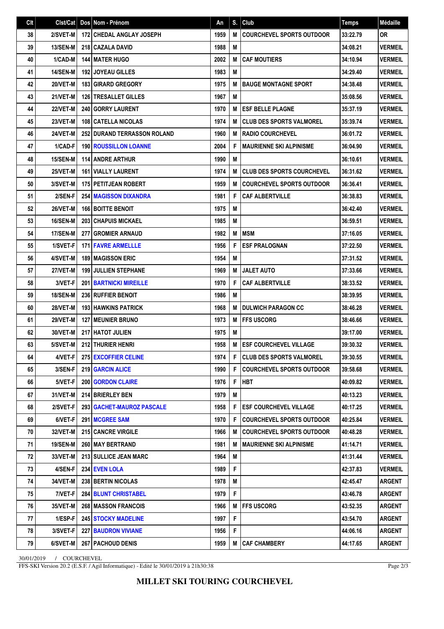| Clt | Clst/Cat        | $\sf{Dos}$ | Nom - Prénom                    | An   | S. | Club                              | <b>Temps</b> | Médaille       |
|-----|-----------------|------------|---------------------------------|------|----|-----------------------------------|--------------|----------------|
| 38  | 2/SVET-M        |            | <b>172 CHEDAL ANGLAY JOSEPH</b> | 1959 | M  | <b>COURCHEVEL SPORTS OUTDOOR</b>  | 33:22.79     | 0R             |
| 39  | <b>13/SEN-M</b> |            | 218 CAZALA DAVID                | 1988 | M  |                                   | 34:08.21     | <b>VERMEIL</b> |
| 40  | 1/CAD-M         |            | <b>144 MATER HUGO</b>           | 2002 | M  | <b>CAF MOUTIERS</b>               | 34:10.94     | <b>VERMEIL</b> |
| 41  | <b>14/SEN-M</b> |            | <b>192 JOYEAU GILLES</b>        | 1983 | M  |                                   | 34:29.40     | <b>VERMEIL</b> |
| 42  | 20/VET-M        |            | <b>183 GIRARD GREGORY</b>       | 1975 | M  | <b>BAUGE MONTAGNE SPORT</b>       | 34:38.48     | <b>VERMEIL</b> |
| 43  | 21/VET-M        |            | <b>126   TRESALLET GILLES</b>   | 1967 | M  |                                   | 35:08.56     | <b>VERMEIL</b> |
| 44  | 22/VET-M        |            | 240 GORRY LAURENT               | 1970 | M  | <b>ESF BELLE PLAGNE</b>           | 35:37.19     | <b>VERMEIL</b> |
| 45  | 23/VET-M        |            | 108 CATELLA NICOLAS             | 1974 | M  | <b>CLUB DES SPORTS VALMOREL</b>   | 35:39.74     | <b>VERMEIL</b> |
| 46  | 24/VET-M        |            | 252 DURAND TERRASSON ROLAND     | 1960 | M  | <b>RADIO COURCHEVEL</b>           | 36:01.72     | <b>VERMEIL</b> |
| 47  | 1/CAD-F         |            | <b>190 ROUSSILLON LOANNE</b>    | 2004 | F  | <b>MAURIENNE SKI ALPINISME</b>    | 36:04.90     | <b>VERMEIL</b> |
| 48  | 15/SEN-M        |            | <b>114 ANDRE ARTHUR</b>         | 1990 | M  |                                   | 36:10.61     | <b>VERMEIL</b> |
| 49  | 25/VET-M        |            | <b>161 VIALLY LAURENT</b>       | 1974 | M  | <b>CLUB DES SPORTS COURCHEVEL</b> | 36:31.62     | <b>VERMEIL</b> |
| 50  | 3/SVET-M        |            | <b>175 PETITJEAN ROBERT</b>     | 1959 | M  | <b>COURCHEVEL SPORTS OUTDOOR</b>  | 36:36.41     | <b>VERMEIL</b> |
| 51  | 2/SEN-F         |            | <b>254 MAGISSON DIXANDRA</b>    | 1981 | F  | <b>CAF ALBERTVILLE</b>            | 36:38.83     | <b>VERMEIL</b> |
| 52  | 26/VET-M        |            | <b>166 BOITTE BENOIT</b>        | 1975 | M  |                                   | 36:42.40     | <b>VERMEIL</b> |
| 53  | 16/SEN-M        |            | 203 CHAPUIS MICKAEL             | 1985 | M  |                                   | 36:59.51     | <b>VERMEIL</b> |
| 54  | 17/SEN-M        |            | <b>277 GROMIER ARNAUD</b>       | 1982 | M  | <b>MSM</b>                        | 37:16.05     | <b>VERMEIL</b> |
| 55  | 1/SVET-F        |            | <b>171 FAVRE ARMELLLE</b>       | 1956 | F  | <b>ESF PRALOGNAN</b>              | 37:22.50     | <b>VERMEIL</b> |
| 56  | 4/SVET-M        |            | <b>189 MAGISSON ERIC</b>        | 1954 | M  |                                   | 37:31.52     | <b>VERMEIL</b> |
| 57  | 27/VET-M        |            | <b>199 JULLIEN STEPHANE</b>     | 1969 | M  | <b>JALET AUTO</b>                 | 37:33.66     | <b>VERMEIL</b> |
| 58  | 3/VET-F         |            | <b>201 BARTNICKI MIREILLE</b>   | 1970 | F  | <b>CAF ALBERTVILLE</b>            | 38:33.52     | <b>VERMEIL</b> |
| 59  | <b>18/SEN-M</b> |            | <b>236 RUFFIER BENOIT</b>       | 1986 | M  |                                   | 38:39.95     | <b>VERMEIL</b> |
| 60  | <b>28/VET-M</b> |            | <b>193 HAWKINS PATRICK</b>      | 1968 | M  | <b>DULWICH PARAGON CC</b>         | 38:46.28     | <b>VERMEIL</b> |
| 61  | <b>29/VET-M</b> |            | <b>127 MEUNIER BRUNO</b>        | 1973 | M  | <b>FFS USCORG</b>                 | 38:46.66     | <b>VERMEIL</b> |
| 62  | 30/VET-M        |            | 217 HATOT JULIEN                | 1975 | M  |                                   | 39:17.00     | <b>VERMEIL</b> |
| 63  | 5/SVET-M        |            | 212 THURIER HENRI               | 1958 | M  | <b>ESF COURCHEVEL VILLAGE</b>     | 39:30.32     | <b>VERMEIL</b> |
| 64  | 4/VET-F         |            | 275 EXCOFFIER CELINE            | 1974 | F  | <b>CLUB DES SPORTS VALMOREL</b>   | 39:30.55     | <b>VERMEIL</b> |
| 65  | 3/SEN-F         |            | 219 GARCIN ALICE                | 1990 | F  | <b>COURCHEVEL SPORTS OUTDOOR</b>  | 39:58.68     | VERMEIL        |
| 66  | 5/VET-F         |            | <b>200 GORDON CLAIRE</b>        | 1976 | F  | <b>HBT</b>                        | 40:09.82     | <b>VERMEIL</b> |
| 67  | 31/VET-M        |            | 214 BRIERLEY BEN                | 1979 | M  |                                   | 40:13.23     | <b>VERMEIL</b> |
| 68  | 2/SVET-F        |            | 293   GACHET-MAUROZ PASCALE     | 1958 | F  | <b>ESF COURCHEVEL VILLAGE</b>     | 40:17.25     | <b>VERMEIL</b> |
| 69  | 6/VET-F         |            | 291   MCGREE SAM                | 1970 | F  | <b>COURCHEVEL SPORTS OUTDOOR</b>  | 40:25.84     | <b>VERMEIL</b> |
| 70  | 32/VET-M        |            | 215 CANCRE VIRGILE              | 1966 | M  | <b>COURCHEVEL SPORTS OUTDOOR</b>  | 40:48.28     | VERMEIL        |
| 71  | 19/SEN-M        |            | 260   MAY BERTRAND              | 1981 | M  | <b>MAURIENNE SKI ALPINISME</b>    | 41:14.71     | <b>VERMEIL</b> |
| 72  | 33/VET-M        |            | 213 SULLICE JEAN MARC           | 1964 | M  |                                   | 41:31.44     | <b>VERMEIL</b> |
| 73  | 4/SEN-F         |            | 234 EVEN LOLA                   | 1989 | F  |                                   | 42:37.83     | <b>VERMEIL</b> |
| 74  | 34/VET-M        |            | 238 BERTIN NICOLAS              | 1978 | M  |                                   | 42:45.47     | ARGENT         |
| 75  | 7/VET-F         |            | <b>284 BLUNT CHRISTABEL</b>     | 1979 | F  |                                   | 43:46.78     | ARGENT         |
| 76  | 35/VET-M        |            | <b>268   MASSON FRANCOIS</b>    | 1966 | M  | <b>FFS USCORG</b>                 | 43:52.35     | ARGENT         |
| 77  | 1/ESP-F         |            | <b>245 STOCKY MADELINE</b>      | 1997 | F  |                                   | 43:54.70     | <b>ARGENT</b>  |
| 78  | 3/SVET-F        |            | <b>227 BAUDRON VIVIANE</b>      | 1956 | F  |                                   | 44:06.16     | ARGENT         |
| 79  | 6/SVET-M        |            | <b>267   PACHOUD DENIS</b>      | 1959 | M  | <b>CAF CHAMBERY</b>               | 44:17.65     | <b>ARGENT</b>  |

30/01/2019 / COURCHEVEL

FFS-SKI Version 20.2 (E.S.F. / Agil Informatique) - Edité le 30/01/2019 à 21h30:38

Page 2/3

**MILLET SKI TOURING COURCHEVEL**